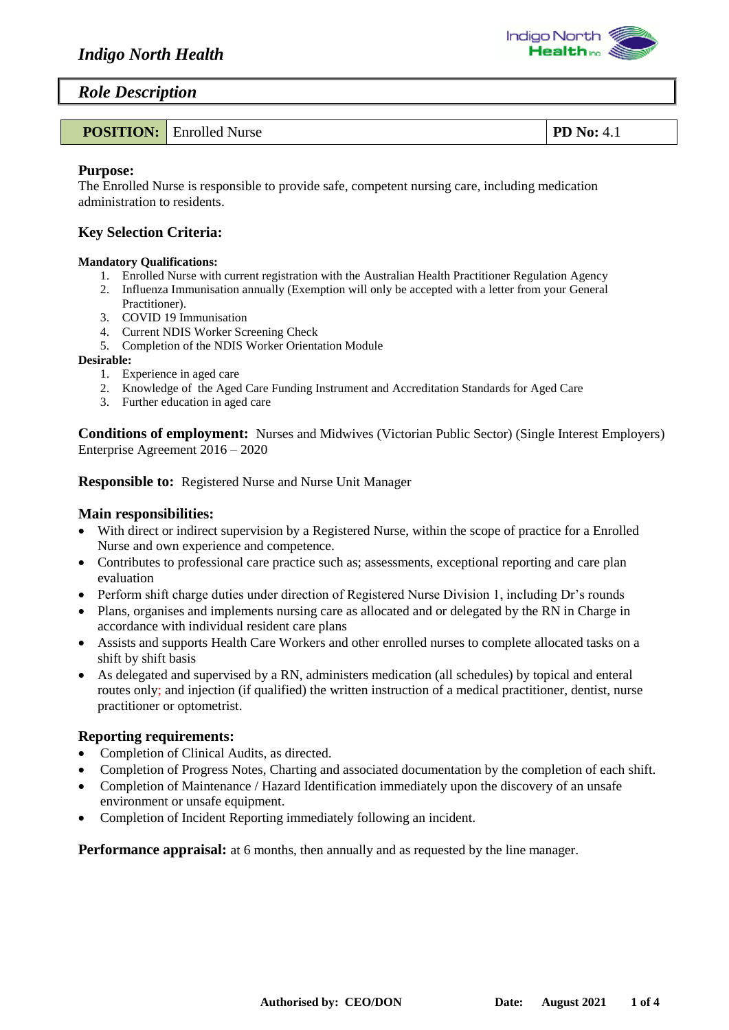

### *Role Description*

|  | <b>POSITION:</b> Enrolled Nurse | $\mid$ PD No: 4.1 |
|--|---------------------------------|-------------------|
|--|---------------------------------|-------------------|

#### **Purpose:**

The Enrolled Nurse is responsible to provide safe, competent nursing care, including medication administration to residents.

#### **Key Selection Criteria:**

#### **Mandatory Qualifications:**

- 1. Enrolled Nurse with current registration with the Australian Health Practitioner Regulation Agency
- 2. Influenza Immunisation annually (Exemption will only be accepted with a letter from your General
- Practitioner).
- 3. COVID 19 Immunisation
- 4. Current NDIS Worker Screening Check
- 5. Completion of the NDIS Worker Orientation Module

#### **Desirable:**

- 1. Experience in aged care
- 2. Knowledge of the Aged Care Funding Instrument and Accreditation Standards for Aged Care
- 3. Further education in aged care

**Conditions of employment:** Nurses and Midwives (Victorian Public Sector) (Single Interest Employers) Enterprise Agreement 2016 – 2020

**Responsible to:** Registered Nurse and Nurse Unit Manager

#### **Main responsibilities:**

- With direct or indirect supervision by a Registered Nurse, within the scope of practice for a Enrolled Nurse and own experience and competence.
- Contributes to professional care practice such as; assessments, exceptional reporting and care plan evaluation
- Perform shift charge duties under direction of Registered Nurse Division 1, including Dr's rounds
- Plans, organises and implements nursing care as allocated and or delegated by the RN in Charge in accordance with individual resident care plans
- Assists and supports Health Care Workers and other enrolled nurses to complete allocated tasks on a shift by shift basis
- As delegated and supervised by a RN, administers medication (all schedules) by topical and enteral routes only; and injection (if qualified) the written instruction of a medical practitioner, dentist, nurse practitioner or optometrist.

### **Reporting requirements:**

- Completion of Clinical Audits, as directed.
- Completion of Progress Notes, Charting and associated documentation by the completion of each shift.
- Completion of Maintenance / Hazard Identification immediately upon the discovery of an unsafe environment or unsafe equipment.
- Completion of Incident Reporting immediately following an incident.

**Performance appraisal:** at 6 months, then annually and as requested by the line manager.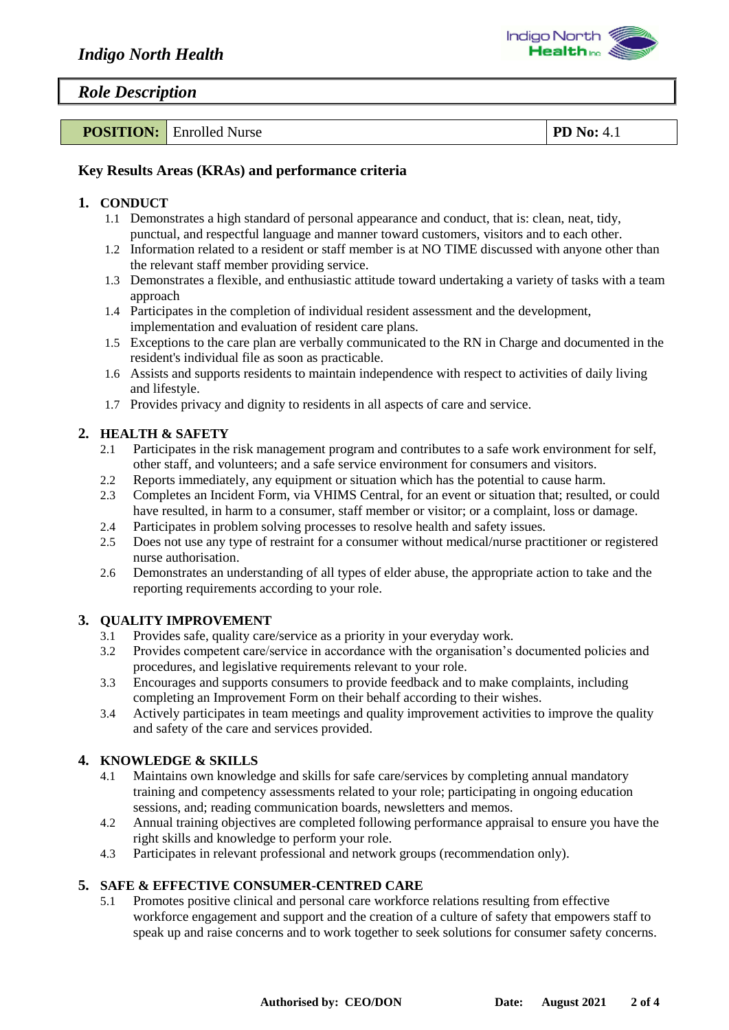

### *Role Description*

| <b>POSITION:</b><br>unrotted.<br>Nurse | ות<br>. .<br>т. д<br>the contract of the contract of |
|----------------------------------------|------------------------------------------------------|
|----------------------------------------|------------------------------------------------------|

## **Key Results Areas (KRAs) and performance criteria**

### **1. CONDUCT**

- 1.1 Demonstrates a high standard of personal appearance and conduct, that is: clean, neat, tidy, punctual, and respectful language and manner toward customers, visitors and to each other.
- 1.2 Information related to a resident or staff member is at NO TIME discussed with anyone other than the relevant staff member providing service.
- 1.3 Demonstrates a flexible, and enthusiastic attitude toward undertaking a variety of tasks with a team approach
- 1.4 Participates in the completion of individual resident assessment and the development, implementation and evaluation of resident care plans.
- 1.5 Exceptions to the care plan are verbally communicated to the RN in Charge and documented in the resident's individual file as soon as practicable.
- 1.6 Assists and supports residents to maintain independence with respect to activities of daily living and lifestyle.
- 1.7 Provides privacy and dignity to residents in all aspects of care and service.

# **2. HEALTH & SAFETY**

- 2.1 Participates in the risk management program and contributes to a safe work environment for self, other staff, and volunteers; and a safe service environment for consumers and visitors.
- 2.2 Reports immediately, any equipment or situation which has the potential to cause harm.
- 2.3 Completes an Incident Form, via VHIMS Central, for an event or situation that; resulted, or could have resulted, in harm to a consumer, staff member or visitor; or a complaint, loss or damage.
- 2.4 Participates in problem solving processes to resolve health and safety issues.
- 2.5 Does not use any type of restraint for a consumer without medical/nurse practitioner or registered nurse authorisation.
- 2.6 Demonstrates an understanding of all types of elder abuse, the appropriate action to take and the reporting requirements according to your role.

# **3. QUALITY IMPROVEMENT**

- 3.1 Provides safe, quality care/service as a priority in your everyday work.
- 3.2 Provides competent care/service in accordance with the organisation's documented policies and procedures, and legislative requirements relevant to your role.
- 3.3 Encourages and supports consumers to provide feedback and to make complaints, including completing an Improvement Form on their behalf according to their wishes.
- 3.4 Actively participates in team meetings and quality improvement activities to improve the quality and safety of the care and services provided.

# **4. KNOWLEDGE & SKILLS**

- 4.1 Maintains own knowledge and skills for safe care/services by completing annual mandatory training and competency assessments related to your role; participating in ongoing education sessions, and; reading communication boards, newsletters and memos.
- 4.2 Annual training objectives are completed following performance appraisal to ensure you have the right skills and knowledge to perform your role.
- 4.3 Participates in relevant professional and network groups (recommendation only).

# **5. SAFE & EFFECTIVE CONSUMER-CENTRED CARE**

5.1 Promotes positive clinical and personal care workforce relations resulting from effective workforce engagement and support and the creation of a culture of safety that empowers staff to speak up and raise concerns and to work together to seek solutions for consumer safety concerns.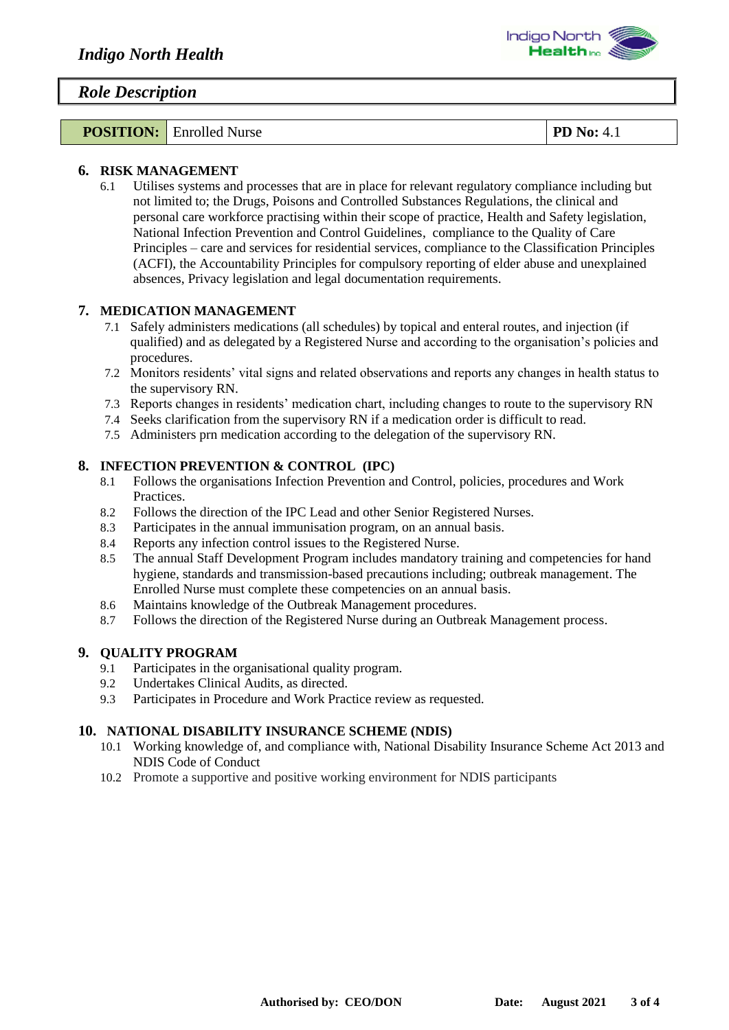

### *Role Description*

**POSITION:** Enrolled Nurse **PD No:** 4.1

#### **6. RISK MANAGEMENT**

6.1 Utilises systems and processes that are in place for relevant regulatory compliance including but not limited to; the Drugs, Poisons and Controlled Substances Regulations, the clinical and personal care workforce practising within their scope of practice, Health and Safety legislation, National Infection Prevention and Control Guidelines, compliance to the Quality of Care Principles – care and services for residential services, compliance to the Classification Principles (ACFI), the Accountability Principles for compulsory reporting of elder abuse and unexplained absences, Privacy legislation and legal documentation requirements.

### **7. MEDICATION MANAGEMENT**

- 7.1 Safely administers medications (all schedules) by topical and enteral routes, and injection (if qualified) and as delegated by a Registered Nurse and according to the organisation's policies and procedures.
- 7.2 Monitors residents' vital signs and related observations and reports any changes in health status to the supervisory RN.
- 7.3 Reports changes in residents' medication chart, including changes to route to the supervisory RN
- 7.4 Seeks clarification from the supervisory RN if a medication order is difficult to read.
- 7.5 Administers prn medication according to the delegation of the supervisory RN.

#### **8. INFECTION PREVENTION & CONTROL (IPC)**

- 8.1 Follows the organisations Infection Prevention and Control, policies, procedures and Work Practices.
- 8.2 Follows the direction of the IPC Lead and other Senior Registered Nurses.
- 8.3 Participates in the annual immunisation program, on an annual basis.
- 8.4 Reports any infection control issues to the Registered Nurse.
- 8.5 The annual Staff Development Program includes mandatory training and competencies for hand hygiene, standards and transmission-based precautions including; outbreak management. The Enrolled Nurse must complete these competencies on an annual basis.
- 8.6 Maintains knowledge of the Outbreak Management procedures.
- 8.7 Follows the direction of the Registered Nurse during an Outbreak Management process.

### **9. QUALITY PROGRAM**

- 9.1 Participates in the organisational quality program.
- 9.2 Undertakes Clinical Audits, as directed.
- 9.3 Participates in Procedure and Work Practice review as requested.

### **10. NATIONAL DISABILITY INSURANCE SCHEME (NDIS)**

- 10.1 Working knowledge of, and compliance with, National Disability Insurance Scheme Act 2013 and NDIS Code of Conduct
- 10.2 Promote a supportive and positive working environment for NDIS participants